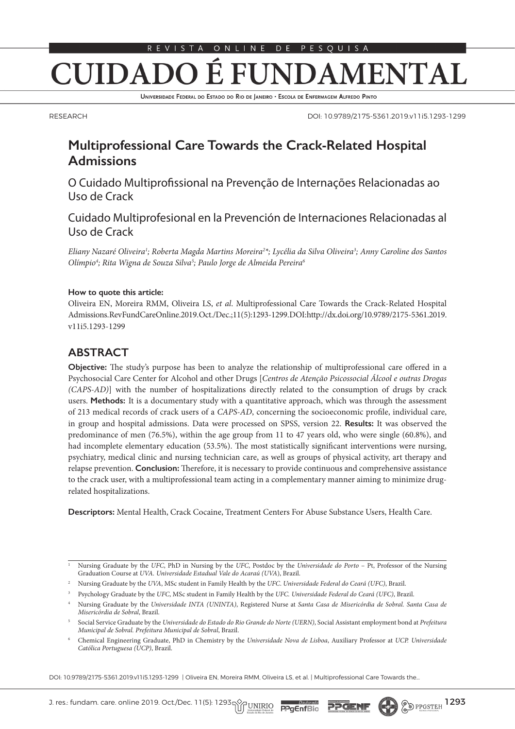### É 1 FUNDAMENTAL **CUIDADO**

UNIVERSIDADE FEDERAL DO ESTADO DO RIO DE JANEIRO · ESCOLA DE ENFERMAGEM ALFREDO PINTO

RESEARCH

DOI: 10.9789/2175-5361.2019.v11i5.1293-1299

# **Multiprofessional Care Towards the Crack-Related Hospital Admissions**

O Cuidado Multiprofissional na Prevenção de Internações Relacionadas ao Uso de Crack

Cuidado Multiprofesional en la Prevención de Internaciones Relacionadas al Uso de Crack

*Eliany Nazaré Oliveira1 ; Roberta Magda Martins Moreira2 \*; Lycélia da Silva Oliveira3 ; Anny Caroline dos Santos Olímpio4 ; Rita Wigna de Souza Silva5 ; Paulo Jorge de Almeida Pereira6*

#### **How to quote this article:**

Oliveira EN, Moreira RMM, Oliveira LS, *et al*. Multiprofessional Care Towards the Crack-Related Hospital Admissions. Rev Fund Care Online.2019. Oct./Dec.; 11(5):1293-1299. DOI: http://dx.doi.org/10.9789/2175-5361.2019. v11i5.1293-1299

## **ABSTRACT**

**Objective:** The study's purpose has been to analyze the relationship of multiprofessional care offered in a Psychosocial Care Center for Alcohol and other Drugs [*Centros de Atenção Psicossocial Álcool e outras Drogas (CAPS-AD)*] with the number of hospitalizations directly related to the consumption of drugs by crack users. **Methods:** It is a documentary study with a quantitative approach, which was through the assessment of 213 medical records of crack users of a *CAPS-AD*, concerning the socioeconomic profile, individual care, in group and hospital admissions. Data were processed on SPSS, version 22. **Results:** It was observed the predominance of men (76.5%), within the age group from 11 to 47 years old, who were single (60.8%), and had incomplete elementary education (53.5%). The most statistically significant interventions were nursing, psychiatry, medical clinic and nursing technician care, as well as groups of physical activity, art therapy and relapse prevention. **Conclusion:** Therefore, it is necessary to provide continuous and comprehensive assistance to the crack user, with a multiprofessional team acting in a complementary manner aiming to minimize drugrelated hospitalizations.

**Descriptors:** Mental Health, Crack Cocaine, Treatment Centers For Abuse Substance Users, Health Care.

DOI: 10.9789/2175-5361.2019.v11i5.1293-1299 | Oliveira EN, Moreira RMM, Oliveira LS, et al. | Multiprofessional Care Towards the...

<sup>1</sup> Nursing Graduate by the *UFC*, PhD in Nursing by the *UFC*, Postdoc by the *Universidade do Porto* – Pt, Professor of the Nursing Graduation Course at *UVA. Universidade Estadual Vale do Acaraú (UVA*), Brazil.

<sup>2</sup> Nursing Graduate by the *UVA*, MSc student in Family Health by the *UFC*. *Universidade Federal do Ceará (UFC)*, Brazil.

<sup>3</sup> Psychology Graduate by the *UFC*, MSc student in Family Health by the *UFC. Universidade Federal do Ceará (UFC)*, Brazil.

<sup>4</sup> Nursing Graduate by the *Universidade INTA (UNINTA)*, Registered Nurse at *Santa Casa de Misericórdia de Sobral. Santa Casa de Misericórdia de Sobral*, Brazil.

<sup>5</sup> Social Service Graduate by the *Universidade do Estado do Rio Grande do Norte (UERN)*, Social Assistant employment bond at *Prefeitura Municipal de Sobral. Prefeitura Municipal de Sobral*, Brazil.

<sup>6</sup> Chemical Engineering Graduate, PhD in Chemistry by the *Universidade Nova de Lisboa*, Auxiliary Professor at *UCP. Universidade Católica Portuguesa (UCP)*, Brazil.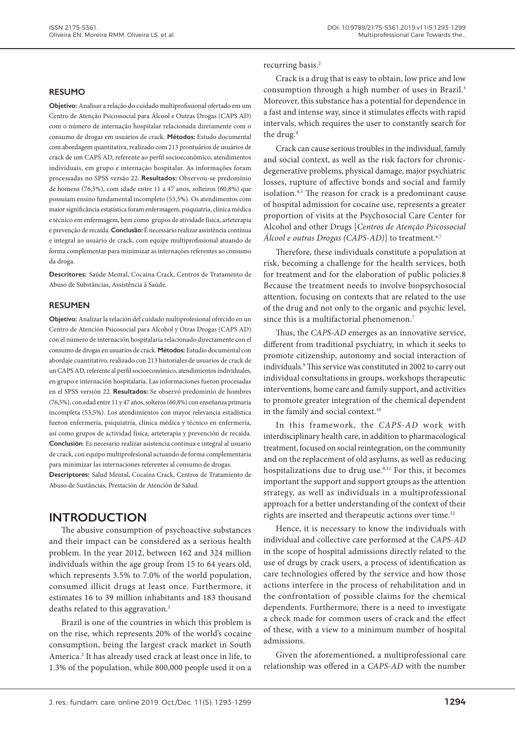#### **RESUMO**

**Objetivo:** Analisar a relação do cuidado multiprofissional ofertado em um Centro de Atenção Psicossocial para Álcool e Outras Drogas (CAPS AD) com o número de internação hospitalar relacionada diretamente com o consumo de drogas em usuários de crack. **Métodos:** Estudo documental com abordagem quantitativa, realizado com 213 prontuários de usuários de crack de um CAPS AD, referente ao perfil socioeconômico, atendimentos individuais, em grupo e internação hospitalar. As informações foram processadas no SPSS versão 22. **Resultados:** Observou-se predomínio de homens (76,5%), com idade entre 11 a 47 anos, solteiros (60,8%) que possuíam ensino fundamental incompleto (53,5%). Os atendimentos com maior significância estatística foram enfermagem, psiquiatria, clínica médica e técnico em enfermagem, bem como grupos de atividade física, arteterapia e prevenção de recaída. **Conclusão:** É necessário realizar assistência contínua e integral ao usuário de crack, com equipe multiprofissional atuando de forma complementar para minimizar as internações referentes ao consumo da droga.

**Descritores:** Saúde Mental, Cocaína Crack, Centros de Tratamento de Abuso de Substâncias, Assistência à Saúde.

#### **RESUMEN**

**Objetivo:** Analizar la relación del cuidado multiprofesional ofrecido en un Centro de Atención Psicosocial para Alcohol y Otras Drogas (CAPS AD) con el número de internación hospitalaria relacionado directamente con el consumo de drogas en usuarios de crack. **Métodos:** Estudio documental con abordaje cuantitativo, realizado con 213 historiales de usuarios de crack de un CAPS AD, referente al perfil socioeconómico, atendimientos individuales, en grupo e internación hospitalaria. Las informaciones fueron procesadas en el SPSS versión 22. **Resultados:** Se observó predominio de hombres (76,5%), con edad entre 11 y 47 años, solteros (60,8%) con enseñanza primaria incompleta (53,5%). Los atendimientos con mayor relevancia estadística fueron enfermería, psiquiatría, clínica médica y técnico en enfermería, así como grupos de actividad física, arteterapia y prevención de recaída. **Conclusión**: Es necesario realizar asistencia continua e integral al usuario de crack, con equipo multiprofesional actuando de forma complementaria para minimizar las internaciones referentes al consumo de drogas.

**Descriptores:** Salud Mental, Cocaína Crack, Centros de Tratamiento de Abuso de Sustâncias, Prestación de Atención de Salud.

### **INTRODUCTION**

The abusive consumption of psychoactive substances and their impact can be considered as a serious health problem. In the year 2012, between 162 and 324 million individuals within the age group from 15 to 64 years old, which represents 3.5% to 7.0% of the world population, consumed illicit drugs at least once. Furthermore, it estimates 16 to 39 million inhabitants and 183 thousand deaths related to this aggravation.<sup>1</sup>

Brazil is one of the countries in which this problem is on the rise, which represents 20% of the world's cocaine consumption, being the largest crack market in South America.2 It has already used crack at least once in life, to 1.3% of the population, while 800,000 people used it on a

recurring basis.2

Crack is a drug that is easy to obtain, low price and low consumption through a high number of uses in Brazil.<sup>3</sup> Moreover, this substance has a potential for dependence in a fast and intense way, since it stimulates effects with rapid intervals, which requires the user to constantly search for the drug.<sup>4</sup>

Crack can cause serious troubles in the individual, family and social context, as well as the risk factors for chronicdegenerative problems, physical damage, major psychiatric losses, rupture of affective bonds and social and family isolation.4,5 The reason for crack is a predominant cause of hospital admission for cocaine use, represents a greater proportion of visits at the Psychosocial Care Center for Alcohol and other Drugs [*Centros de Atenção Psicossocial Álcool e outras Drogas (CAPS-AD)*] to treatment.<sup>6,7</sup>

Therefore, these individuals constitute a population at risk, becoming a challenge for the health services, both for treatment and for the elaboration of public policies.8 Because the treatment needs to involve biopsychosocial attention, focusing on contexts that are related to the use of the drug and not only to the organic and psychic level, since this is a multifactorial phenomenon.<sup>7</sup>

Thus, the *CAPS-AD* emerges as an innovative service, different from traditional psychiatry, in which it seeks to promote citizenship, autonomy and social interaction of individuals.9 This service was constituted in 2002 to carry out individual consultations in groups, workshops therapeutic interventions, home care and family support, and activities to promote greater integration of the chemical dependent in the family and social context.<sup>10</sup>

In this framework, the *CAPS-AD* work with interdisciplinary health care, in addition to pharmacological treatment, focused on social reintegration, on the community and on the replacement of old asylums, as well as reducing hospitalizations due to drug use.<sup>9,11</sup> For this, it becomes important the support and support groups as the attention strategy, as well as individuals in a multiprofessional approach for a better understanding of the context of their rights are inserted and therapeutic actions over time.<sup>12</sup>

Hence, it is necessary to know the individuals with individual and collective care performed at the *CAPS-AD* in the scope of hospital admissions directly related to the use of drugs by crack users, a process of identification as care technologies offered by the service and how those actions interfere in the process of rehabilitation and in the confrontation of possible claims for the chemical dependents. Furthermore, there is a need to investigate a check made for common users of crack and the effect of these, with a view to a minimum number of hospital admissions.

Given the aforementioned, a multiprofessional care relationship was offered in a *CAPS-AD* with the number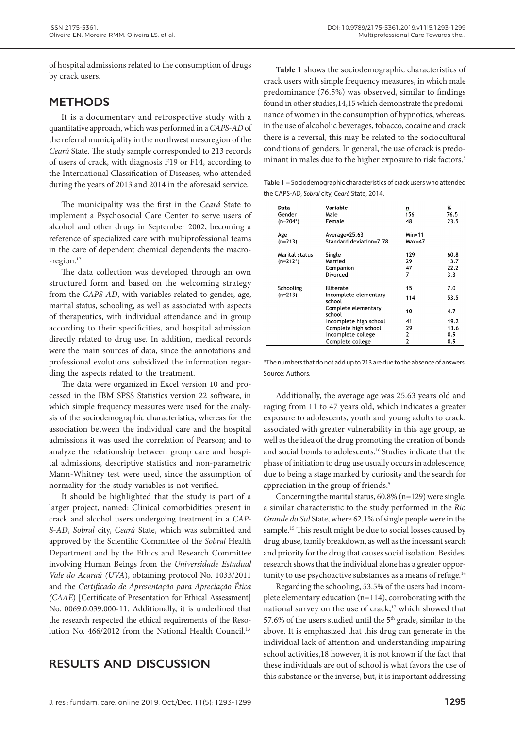of hospital admissions related to the consumption of drugs by crack users.

## **METHODS**

It is a documentary and retrospective study with a quantitative approach, which was performed in a *CAPS-AD* of the referral municipality in the northwest mesoregion of the *Ceará* State. The study sample corresponded to 213 records of users of crack, with diagnosis F19 or F14, according to the International Classification of Diseases, who attended during the years of 2013 and 2014 in the aforesaid service.

The municipality was the first in the *Ceará* State to implement a Psychosocial Care Center to serve users of alcohol and other drugs in September 2002, becoming a reference of specialized care with multiprofessional teams in the care of dependent chemical dependents the macro- -region.<sup>12</sup>

The data collection was developed through an own structured form and based on the welcoming strategy from the *CAPS-AD*, with variables related to gender, age, marital status, schooling, as well as associated with aspects of therapeutics, with individual attendance and in group according to their specificities, and hospital admission directly related to drug use. In addition, medical records were the main sources of data, since the annotations and professional evolutions subsidized the information regarding the aspects related to the treatment.

The data were organized in Excel version 10 and processed in the IBM SPSS Statistics version 22 software, in which simple frequency measures were used for the analysis of the sociodemographic characteristics, whereas for the association between the individual care and the hospital admissions it was used the correlation of Pearson; and to analyze the relationship between group care and hospital admissions, descriptive statistics and non-parametric Mann-Whitney test were used, since the assumption of normality for the study variables is not verified.

It should be highlighted that the study is part of a larger project, named: Clinical comorbidities present in crack and alcohol users undergoing treatment in a *CAP-S-AD*, *Sobral* city, *Ceará* State, which was submitted and approved by the Scientific Committee of the *Sobral* Health Department and by the Ethics and Research Committee involving Human Beings from the *Universidade Estadual Vale do Acaraú (UVA*), obtaining protocol No. 1033/2011 and the *Certificado de Apresentação para Apreciação Ética (CAAE*) [Certificate of Presentation for Ethical Assessment] No. 0069.0.039.000-11. Additionally, it is underlined that the research respected the ethical requirements of the Resolution No. 466/2012 from the National Health Council.<sup>13</sup>

## **RESULTS AND DISCUSSION**

**Table 1** shows the sociodemographic characteristics of crack users with simple frequency measures, in which male predominance (76.5%) was observed, similar to findings found in other studies,14,15 which demonstrate the predominance of women in the consumption of hypnotics, whereas, in the use of alcoholic beverages, tobacco, cocaine and crack there is a reversal, this may be related to the sociocultural conditions of genders. In general, the use of crack is predominant in males due to the higher exposure to risk factors.<sup>5</sup>

**Table 1 –** Sociodemographic characteristics of crack users who attended the CAPS-AD, *Sobral* city, *Ceará* State, 2014.

| Data           | Variable                        | n        | %    |
|----------------|---------------------------------|----------|------|
| Gender         | Male                            | 156      | 76.5 |
| $(n=204^*)$    | Female                          | 48       | 23.5 |
| Age            | Average=25.63                   | $Min=11$ |      |
| $(n=213)$      | Standard deviation=7.78         | $Max=47$ |      |
| Marital status | Single                          | 129      | 60.8 |
| $(n=212^*)$    | Married                         | 29       | 13.7 |
|                | Companion                       | 47       | 22.2 |
|                | Divorced                        | 7        | 3.3  |
| Schooling      | <b>Illiterate</b>               | 15       | 7.0  |
| $(n=213)$      | Incomplete elementary<br>school | 114      | 53.5 |
|                | Complete elementary<br>school   | 10       | 4.7  |
|                | Incomplete high school          | 41       | 19.2 |
|                | Complete high school            | 29       | 13.6 |
|                | Incomplete college              | 2        | 0.9  |
|                | Complete college                | 2        | 0.9  |

\*The numbers that do not add up to 213 are due to the absence of answers. Source: Authors.

Additionally, the average age was 25.63 years old and raging from 11 to 47 years old, which indicates a greater exposure to adolescents, youth and young adults to crack, associated with greater vulnerability in this age group, as well as the idea of the drug promoting the creation of bonds and social bonds to adolescents.16 Studies indicate that the phase of initiation to drug use usually occurs in adolescence, due to being a stage marked by curiosity and the search for appreciation in the group of friends.<sup>5</sup>

Concerning the marital status, 60.8% (n=129) were single, a similar characteristic to the study performed in the *Rio Grande do Sul* State, where 62.1% of single people were in the sample.<sup>15</sup> This result might be due to social losses caused by drug abuse, family breakdown, as well as the incessant search and priority for the drug that causes social isolation. Besides, research shows that the individual alone has a greater opportunity to use psychoactive substances as a means of refuge.<sup>14</sup>

Regarding the schooling, 53.5% of the users had incomplete elementary education (n=114), corroborating with the national survey on the use of crack,<sup>17</sup> which showed that 57.6% of the users studied until the 5<sup>th</sup> grade, similar to the above. It is emphasized that this drug can generate in the individual lack of attention and understanding impairing school activities,18 however, it is not known if the fact that these individuals are out of school is what favors the use of this substance or the inverse, but, it is important addressing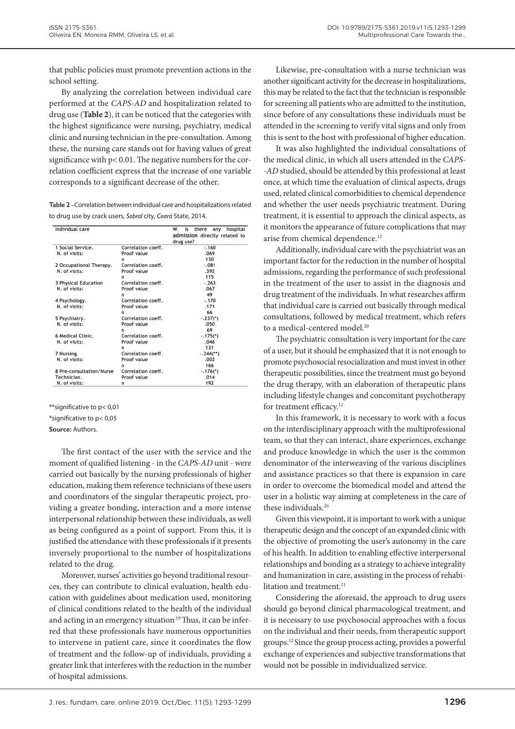that public policies must promote prevention actions in the school setting.

By analyzing the correlation between individual care performed at the *CAPS-AD* and hospitalization related to drug use (**Table 2**), it can be noticed that the categories with the highest significance were nursing, psychiatry, medical clinic and nursing technician in the pre-consultation. Among these, the nursing care stands out for having values of great significance with p< 0.01. The negative numbers for the correlation coefficient express that the increase of one variable corresponds to a significant decrease of the other.

| <b>Table 2</b> – Correlation between individual care and hospitalizations related |
|-----------------------------------------------------------------------------------|
| to drug use by crack users, Sobral city, Ceará State, 2014.                       |

| Individual care          |                    | w.<br>there<br>hospital<br>ls<br>anv<br>admission directly related to |  |  |  |
|--------------------------|--------------------|-----------------------------------------------------------------------|--|--|--|
|                          |                    | drug use?                                                             |  |  |  |
| 1 Social Service.        | Correlation coeff. | $-0.160$                                                              |  |  |  |
| N. of visits:            | Proof value        | .069                                                                  |  |  |  |
|                          | n                  | 130                                                                   |  |  |  |
| 2 Occupational Therapy.  | Correlation coeff. | $-.081$                                                               |  |  |  |
| N. of visits:            | Proof value        | .392                                                                  |  |  |  |
|                          | n                  | 115                                                                   |  |  |  |
| 3 Physical Education     | Correlation coeff. | $-.263$                                                               |  |  |  |
| N. of visits:            | Proof value        | .067                                                                  |  |  |  |
|                          | n                  | 49                                                                    |  |  |  |
| 4 Psychology.            | Correlation coeff. | $-.170$                                                               |  |  |  |
| N. of visits:            | Proof value        | .171                                                                  |  |  |  |
|                          | n                  | 66                                                                    |  |  |  |
| 5 Psychiatry.            | Correlation coeff. | $-.237(*)$                                                            |  |  |  |
| N. of visits:            | Proof value        | .050                                                                  |  |  |  |
|                          | n                  | 69                                                                    |  |  |  |
| 6 Medical Clinic.        | Correlation coeff. | $-.175($ <sup>*</sup> )                                               |  |  |  |
| N. of visits:            | Proof value        | .046                                                                  |  |  |  |
|                          | n                  | 131                                                                   |  |  |  |
| 7 Nursing.               | Correlation coeff. | $-.244$ <sup>**</sup> )                                               |  |  |  |
| N. of visits:            | Proof value        | .002                                                                  |  |  |  |
|                          | n                  | 166                                                                   |  |  |  |
| 8 Pre-consultation/Nurse | Correlation coeff. | $-.176(*)$                                                            |  |  |  |
| Technician.              | Proof value        | .014                                                                  |  |  |  |
| N. of visits:            | n                  | 192                                                                   |  |  |  |

\*\*significative to p< 0,01

\*significative to p< 0,05

**Source:** Authors.

The first contact of the user with the service and the moment of qualified listening - in the *CAPS-AD* unit - were carried out basically by the nursing professionals of higher education, making them reference technicians of these users and coordinators of the singular therapeutic project, providing a greater bonding, interaction and a more intense interpersonal relationship between these individuals, as well as being configured as a point of support. From this, it is justified the attendance with these professionals if it presents inversely proportional to the number of hospitalizations related to the drug.

Moreover, nurses' activities go beyond traditional resources, they can contribute to clinical evaluation, health education with guidelines about medication used, monitoring of clinical conditions related to the health of the individual and acting in an emergency situation.<sup>19</sup> Thus, it can be inferred that these professionals have numerous opportunities to intervene in patient care, since it coordinates the flow of treatment and the follow-up of individuals, providing a greater link that interferes with the reduction in the number of hospital admissions.

Likewise, pre-consultation with a nurse technician was another significant activity for the decrease in hospitalizations, this may be related to the fact that the technician is responsible for screening all patients who are admitted to the institution, since before of any consultations these individuals must be attended in the screening to verify vital signs and only from this is sent to the host with professional of higher education.

It was also highlighted the individual consultations of the medical clinic, in which all users attended in the *CAPS- -AD* studied, should be attended by this professional at least once, at which time the evaluation of clinical aspects, drugs used, related clinical comorbidities to chemical dependence and whether the user needs psychiatric treatment. During treatment, it is essential to approach the clinical aspects, as it monitors the appearance of future complications that may arise from chemical dependence.<sup>12</sup>

Additionally, individual care with the psychiatrist was an important factor for the reduction in the number of hospital admissions, regarding the performance of such professional in the treatment of the user to assist in the diagnosis and drug treatment of the individuals. In what researches affirm that individual care is carried out basically through medical consultations, followed by medical treatment, which refers to a medical-centered model.<sup>20</sup>

The psychiatric consultation is very important for the care of a user, but it should be emphasized that it is not enough to promote psychosocial resocialization and must invest in other therapeutic possibilities, since the treatment must go beyond the drug therapy, with an elaboration of therapeutic plans including lifestyle changes and concomitant psychotherapy for treatment efficacy.<sup>12</sup>

In this framework, it is necessary to work with a focus on the interdisciplinary approach with the multiprofessional team, so that they can interact, share experiences, exchange and produce knowledge in which the user is the common denominator of the interweaving of the various disciplines and assistance practices so that there is expansion in care in order to overcome the biomedical model and attend the user in a holistic way aiming at completeness in the care of these individuals.20

Given this viewpoint, it is important to work with a unique therapeutic design and the concept of an expanded clinic with the objective of promoting the user's autonomy in the care of his health. In addition to enabling effective interpersonal relationships and bonding as a strategy to achieve integrality and humanization in care, assisting in the process of rehabilitation and treatment.<sup>21</sup>

Considering the aforesaid, the approach to drug users should go beyond clinical pharmacological treatment, and it is necessary to use psychosocial approaches with a focus on the individual and their needs, from therapeutic support groups.12 Since the group process acting, provides a powerful exchange of experiences and subjective transformations that would not be possible in individualized service.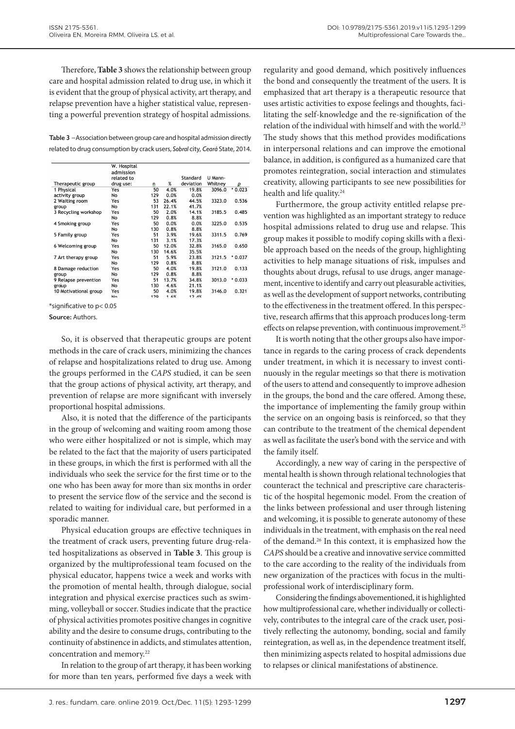Therefore, **Table 3** shows the relationship between group care and hospital admission related to drug use, in which it is evident that the group of physical activity, art therapy, and relapse prevention have a higher statistical value, representing a powerful prevention strategy of hospital admissions.

**Table 3** –Association between group care and hospital admission directly related to drug consumption by crack users, *Sobral* city, *Ceará* State, 2014.

|                       | W. Hospital    |     |       |           |         |          |
|-----------------------|----------------|-----|-------|-----------|---------|----------|
|                       | admission      |     |       |           |         |          |
|                       | related to     |     |       | Standard  | U Mann- |          |
| Therapeutic group     | drug use:      | n   | %     | deviation | Whitney | р        |
| 1 Physical            | Yes            | 50  | 4.0%  | 19.8%     | 3096.0  | $*0.023$ |
| activity group        | No             | 129 | 0.0%  | 0.0%      |         |          |
| 2 Waiting room        | Yes            | 53  | 26.4% | 44.5%     | 3323.0  | 0.536    |
| group                 | No             | 131 | 22.1% | 41.7%     |         |          |
| 3 Recycling workshop  | Yes            | 50  | 2.0%  | 14.1%     | 3185.5  | 0.485    |
|                       | No             | 129 | 0.8%  | 8.8%      |         |          |
| 4 Smoking group       | Yes            | 50  | 0.0%  | 0.0%      | 3225.0  | 0.535    |
|                       | <b>No</b>      | 130 | 0.8%  | 8.8%      |         |          |
| 5 Family group        | Yes            | 51  | 3.9%  | 19.6%     | 3311.5  | 0.769    |
|                       | No             | 131 | 3.1%  | 17.3%     |         |          |
| 6 Welcoming group     | Yes            | 50  | 12.0% | 32.8%     | 3165.0  | 0.650    |
|                       | No             | 130 | 14.6% | 35.5%     |         |          |
| 7 Art therapy group   | Yes            | 51  | 5.9%  | 23.8%     | 3121.5  | $*0.037$ |
|                       | No             | 129 | 0.8%  | 8.8%      |         |          |
| 8 Damage reduction    | Yes            | 50  | 4.0%  | 19.8%     | 3121.0  | 0.133    |
| group                 | No             | 129 | 0.8%  | 8.8%      |         |          |
| 9 Relapse prevention  | Yes            | 51  | 13.7% | 34.8%     | 3013.0  | $*0.033$ |
| group                 | No             | 130 | 4.6%  | 21.1%     |         |          |
| 10 Motivational group | Yes            | 50  | 4.0%  | 19.8%     | 3146.0  | 0.321    |
|                       | N <sub>0</sub> | 179 | 1.6%  | 17 4%     |         |          |

\*significative to p< 0.05

**Source:** Authors.

So, it is observed that therapeutic groups are potent methods in the care of crack users, minimizing the chances of relapse and hospitalizations related to drug use. Among the groups performed in the *CAPS* studied, it can be seen that the group actions of physical activity, art therapy, and prevention of relapse are more significant with inversely proportional hospital admissions.

Also, it is noted that the difference of the participants in the group of welcoming and waiting room among those who were either hospitalized or not is simple, which may be related to the fact that the majority of users participated in these groups, in which the first is performed with all the individuals who seek the service for the first time or to the one who has been away for more than six months in order to present the service flow of the service and the second is related to waiting for individual care, but performed in a sporadic manner.

Physical education groups are effective techniques in the treatment of crack users, preventing future drug-related hospitalizations as observed in **Table 3**. This group is organized by the multiprofessional team focused on the physical educator, happens twice a week and works with the promotion of mental health, through dialogue, social integration and physical exercise practices such as swimming, volleyball or soccer. Studies indicate that the practice of physical activities promotes positive changes in cognitive ability and the desire to consume drugs, contributing to the continuity of abstinence in addicts, and stimulates attention, concentration and memory.22

In relation to the group of art therapy, it has been working for more than ten years, performed five days a week with

regularity and good demand, which positively influences the bond and consequently the treatment of the users. It is emphasized that art therapy is a therapeutic resource that uses artistic activities to expose feelings and thoughts, facilitating the self-knowledge and the re-signification of the relation of the individual with himself and with the world.<sup>23</sup> The study shows that this method provides modifications in interpersonal relations and can improve the emotional balance, in addition, is configured as a humanized care that promotes reintegration, social interaction and stimulates creativity, allowing participants to see new possibilities for health and life quality.<sup>24</sup>

Furthermore, the group activity entitled relapse prevention was highlighted as an important strategy to reduce hospital admissions related to drug use and relapse. This group makes it possible to modify coping skills with a flexible approach based on the needs of the group, highlighting activities to help manage situations of risk, impulses and thoughts about drugs, refusal to use drugs, anger management, incentive to identify and carry out pleasurable activities, as well as the development of support networks, contributing to the effectiveness in the treatment offered. In this perspective, research affirms that this approach produces long-term effects on relapse prevention, with continuous improvement.25

It is worth noting that the other groups also have importance in regards to the caring process of crack dependents under treatment, in which it is necessary to invest continuously in the regular meetings so that there is motivation of the users to attend and consequently to improve adhesion in the groups, the bond and the care offered. Among these, the importance of implementing the family group within the service on an ongoing basis is reinforced, so that they can contribute to the treatment of the chemical dependent as well as facilitate the user's bond with the service and with the family itself.

Accordingly, a new way of caring in the perspective of mental health is shown through relational technologies that counteract the technical and prescriptive care characteristic of the hospital hegemonic model. From the creation of the links between professional and user through listening and welcoming, it is possible to generate autonomy of these individuals in the treatment, with emphasis on the real need of the demand.26 In this context, it is emphasized how the *CAPS* should be a creative and innovative service committed to the care according to the reality of the individuals from new organization of the practices with focus in the multiprofessional work of interdisciplinary form.

Considering the findings abovementioned, it is highlighted how multiprofessional care, whether individually or collectively, contributes to the integral care of the crack user, positively reflecting the autonomy, bonding, social and family reintegration, as well as, in the dependence treatment itself, then minimizing aspects related to hospital admissions due to relapses or clinical manifestations of abstinence.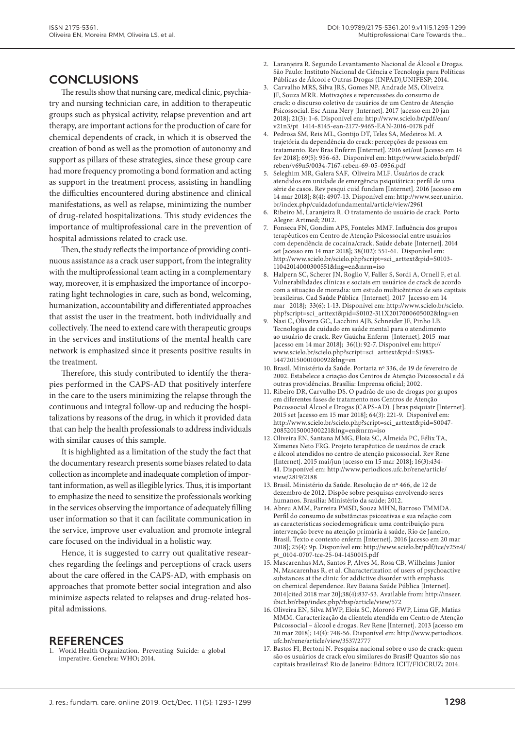## **CONCLUSIONS**

The results show that nursing care, medical clinic, psychiatry and nursing technician care, in addition to therapeutic groups such as physical activity, relapse prevention and art therapy, are important actions for the production of care for chemical dependents of crack, in which it is observed the creation of bond as well as the promotion of autonomy and support as pillars of these strategies, since these group care had more frequency promoting a bond formation and acting as support in the treatment process, assisting in handling the difficulties encountered during abstinence and clinical manifestations, as well as relapse, minimizing the number of drug-related hospitalizations. This study evidences the importance of multiprofessional care in the prevention of hospital admissions related to crack use.

Then, the study reflects the importance of providing continuous assistance as a crack user support, from the integrality with the multiprofessional team acting in a complementary way, moreover, it is emphasized the importance of incorporating light technologies in care, such as bond, welcoming, humanization, accountability and differentiated approaches that assist the user in the treatment, both individually and collectively. The need to extend care with therapeutic groups in the services and institutions of the mental health care network is emphasized since it presents positive results in the treatment.

Therefore, this study contributed to identify the therapies performed in the CAPS-AD that positively interfere in the care to the users minimizing the relapse through the continuous and integral follow-up and reducing the hospitalizations by reasons of the drug, in which it provided data that can help the health professionals to address individuals with similar causes of this sample.

It is highlighted as a limitation of the study the fact that the documentary research presents some biases related to data collection as incomplete and inadequate completion of important information, as well as illegible lyrics. Thus, it is important to emphasize the need to sensitize the professionals working in the services observing the importance of adequately filling user information so that it can facilitate communication in the service, improve user evaluation and promote integral care focused on the individual in a holistic way.

Hence, it is suggested to carry out qualitative researches regarding the feelings and perceptions of crack users about the care offered in the CAPS-AD, with emphasis on approaches that promote better social integration and also minimize aspects related to relapses and drug-related hospital admissions.

### **REFERENCES**

1. World Health Organization. Preventing Suicide: a global imperative. Genebra: WHO; 2014.

- 2. Laranjeira R. Segundo Levantamento Nacional de Álcool e Drogas. São Paulo: Instituto Nacional de Ciência e Tecnologia para Políticas Públicas de Álcool e Outras Drogas (INPAD),UNIFESP; 2014.
- 3. Carvalho MRS, Silva JRS, Gomes NP, Andrade MS, Oliveira JF, Souza MRR. Motivações e repercussões do consumo de crack: o discurso coletivo de usuários de um Centro de Atenção Psicossocial. Esc Anna Nery [Internet]. 2017 [acesso em 20 jan 2018]; 21(3): 1-6. Disponível em: http://www.scielo.br/pdf/ean/ v21n3/pt\_1414-8145-ean-2177-9465-EAN-2016-0178.pdf
- 4. Pedrosa SM, Reis ML, Gontijo DT, Teles SA, Medeiros M. A trajetória da dependência do crack: percepções de pessoas em tratamento. Rev Bras Enferm [Internet]. 2016 set/out [acesso em 14 fev 2018]; 69(5): 956-63. Disponível em: http://www.scielo.br/pdf/ reben/v69n5/0034-7167-reben-69-05-0956.pdf
- 5. Seleghim MR, Galera SAF, Oliveira MLF. Usuários de crack atendidos em unidade de emergência psiquiátrica: perfil de uma série de casos. Rev pesqui cuid fundam [Internet]. 2016 [acesso em 14 mar 2018]; 8(4): 4907-13. Disponível em: http://www.seer.unirio. br/index.php/cuidadofundamental/article/view/2961
- 6. Ribeiro M, Laranjeira R. O tratamento do usuário de crack. Porto Alegre: Artmed; 2012.
- 7. Fonseca FN, Gondim APS, Fonteles MMF. Influência dos grupos terapêuticos em Centro de Atenção Psicossocial entre usuários com dependência de cocaína/crack. Saúde debate [Internet]. 2014 set [acesso em 14 mar 2018]; 38(102): 551-61. Disponível em: http://www.scielo.br/scielo.php?script=sci\_arttext&pid=S0103- 11042014000300551&lng=en&nrm=iso
- 8. Halpern SC, Scherer JN, Roglio V, Faller S, Sordi A, Ornell F, et al. Vulnerabilidades clínicas e sociais em usuários de crack de acordo com a situação de moradia: um estudo multicêntrico de seis capitais brasileiras. Cad Saúde Pública [Internet]. 2017 [acesso em 14 mar 2018]; 33(6): 1-13. Disponível em: http://www.scielo.br/scielo. php?script=sci\_arttext&pid=S0102-311X2017000605002&lng=en
- 9. Nasi C, Oliveira GC, Lacchini AJB, Schneider JF, Pinho LB. Tecnologias de cuidado em saúde mental para o atendimento ao usuário de crack. Rev Gaúcha Enferm [Internet]. 2015 mar [acesso em 14 mar 2018]; 36(1): 92-7. Disponível em: http:// www.scielo.br/scielo.php?script=sci\_arttext&pid=S1983- 14472015000100092&lng=en
- 10. Brasil. Ministério da Saúde. Portaria nº 336, de 19 de fevereiro de 2002. Estabelece a criação dos Centros de Atenção Psicossocial e dá outras providências. Brasília: Imprensa oficial; 2002.
- 11. Ribeiro DR, Carvalho DS. O padrão de uso de drogas por grupos em diferentes fases de tratamento nos Centros de Atenção Psicossocial Álcool e Drogas (CAPS-AD). J bras psiquiatr [Internet]. 2015 set [acesso em 15 mar 2018]; 64(3): 221-9. Disponível em: http://www.scielo.br/scielo.php?script=sci\_arttext&pid=S0047- 20852015000300221&lng=en&nrm=iso
- 12. Oliveira EN, Santana MMG, Eloia SC, Almeida PC, Félix TA, Ximenes Neto FRG. Projeto terapêutico de usuários de crack e álcool atendidos no centro de atenção psicossocial. Rev Rene [Internet]. 2015 mai/jun [acesso em 15 mar 2018]; 16(3):434- 41. Disponível em: http://www.periodicos.ufc.br/rene/article/ view/2819/2188
- 13. Brasil. Ministério da Saúde. Resolução de nº 466, de 12 de dezembro de 2012. Dispõe sobre pesquisas envolvendo seres humanos. Brasília: Ministério da saúde; 2012.
- 14. Abreu AMM, Parreira PMSD, Souza MHN, Barroso TMMDA. Perfil do consumo de substâncias psicoativas e sua relação com as características sociodemográficas: uma contribuição para intervenção breve na atenção primária à saúde, Rio de Janeiro, Brasil. Texto e contexto enferm [Internet]. 2016 [acesso em 20 mar 2018]; 25(4): 9p. Disponível em: http://www.scielo.br/pdf/tce/v25n4/ pt\_0104-0707-tce-25-04-1450015.pdf
- 15. Mascarenhas MA, Santos P, Alves M, Rosa CB, Wilhelms Junior N, Mascarenhas R, et al. Characterization of users of psychoactive substances at the clinic for addictive disorder with emphasis on chemical dependence. Rev Baiana Saúde Pública [Internet]. 2014[cited 2018 mar 20];38(4):837-53. Available from: http://inseer. ibict.br/rbsp/index.php/rbsp/article/view/572
- 16. Oliveira EN, Silva MWP, Eloia SC, Mororó FWP, Lima GF, Matias MMM. Caracterização da clientela atendida em Centro de Atenção Psicossocial – álcool e drogas. Rev Rene [Internet]. 2013 [acesso em 20 mar 2018]; 14(4): 748-56. Disponível em: http://www.periodicos. ufc.br/rene/article/view/3537/2777
- 17. Bastos FI, Bertoni N. Pesquisa nacional sobre o uso de crack: quem são os usuários de crack e/ou similares do Brasil? Quantos são nas capitais brasileiras? Rio de Janeiro: Editora ICIT/FIOCRUZ; 2014.